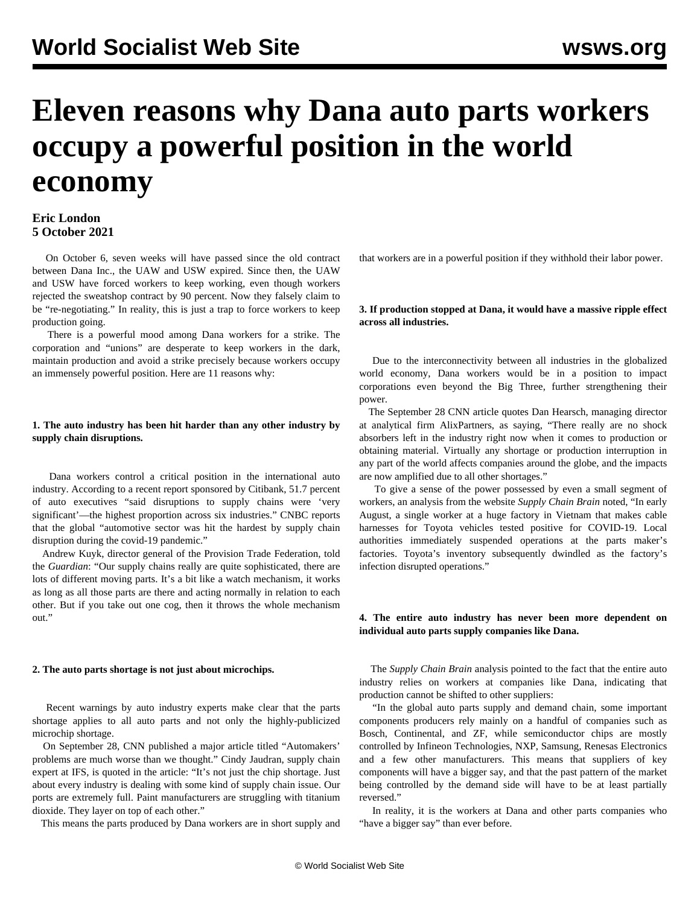# **Eleven reasons why Dana auto parts workers occupy a powerful position in the world economy**

## **Eric London 5 October 2021**

 On October 6, seven weeks will have passed since the old contract between Dana Inc., the UAW and USW expired. Since then, the UAW and USW have forced workers to keep working, even though workers rejected the sweatshop contract by 90 percent. Now they falsely claim to be "re-negotiating." In reality, this is just a trap to force workers to keep production going.

 There is a powerful mood among Dana workers for a strike. The corporation and "unions" are desperate to keep workers in the dark, maintain production and avoid a strike precisely because workers occupy an immensely powerful position. Here are 11 reasons why:

#### **1. The auto industry has been hit harder than any other industry by supply chain disruptions.**

 Dana workers control a critical position in the international auto industry. According to a recent report sponsored by Citibank, 51.7 percent of auto executives "said disruptions to supply chains were 'very significant'—the highest proportion across six industries." CNBC reports that the global "automotive sector was hit the hardest by supply chain disruption during the covid-19 pandemic."

 Andrew Kuyk, director general of the Provision Trade Federation, told the *Guardian*: "Our supply chains really are quite sophisticated, there are lots of different moving parts. It's a bit like a watch mechanism, it works as long as all those parts are there and acting normally in relation to each other. But if you take out one cog, then it throws the whole mechanism out."

#### **2. The auto parts shortage is not just about microchips.**

 Recent warnings by auto industry experts make clear that the parts shortage applies to all auto parts and not only the highly-publicized microchip shortage.

 On September 28, CNN published a major article titled "Automakers' problems are much worse than we thought." Cindy Jaudran, supply chain expert at IFS, is quoted in the article: "It's not just the chip shortage. Just about every industry is dealing with some kind of supply chain issue. Our ports are extremely full. Paint manufacturers are struggling with titanium dioxide. They layer on top of each other."

This means the parts produced by Dana workers are in short supply and

that workers are in a powerful position if they withhold their labor power.

#### **3. If production stopped at Dana, it would have a massive ripple effect across all industries.**

 Due to the interconnectivity between all industries in the globalized world economy, Dana workers would be in a position to impact corporations even beyond the Big Three, further strengthening their power.

 The September 28 CNN article quotes Dan Hearsch, managing director at analytical firm AlixPartners, as saying, "There really are no shock absorbers left in the industry right now when it comes to production or obtaining material. Virtually any shortage or production interruption in any part of the world affects companies around the globe, and the impacts are now amplified due to all other shortages."

 To give a sense of the power possessed by even a small segment of workers, an analysis from the website *Supply Chain Brain* noted, "In early August, a single worker at a huge factory in Vietnam that makes cable harnesses for Toyota vehicles tested positive for COVID-19. Local authorities immediately suspended operations at the parts maker's factories. Toyota's inventory subsequently dwindled as the factory's infection disrupted operations."

#### **4. The entire auto industry has never been more dependent on individual auto parts supply companies like Dana.**

 The *Supply Chain Brain* analysis pointed to the fact that the entire auto industry relies on workers at companies like Dana, indicating that production cannot be shifted to other suppliers:

 "In the global auto parts supply and demand chain, some important components producers rely mainly on a handful of companies such as Bosch, Continental, and ZF, while semiconductor chips are mostly controlled by Infineon Technologies, NXP, Samsung, Renesas Electronics and a few other manufacturers. This means that suppliers of key components will have a bigger say, and that the past pattern of the market being controlled by the demand side will have to be at least partially reversed."

 In reality, it is the workers at Dana and other parts companies who "have a bigger say" than ever before.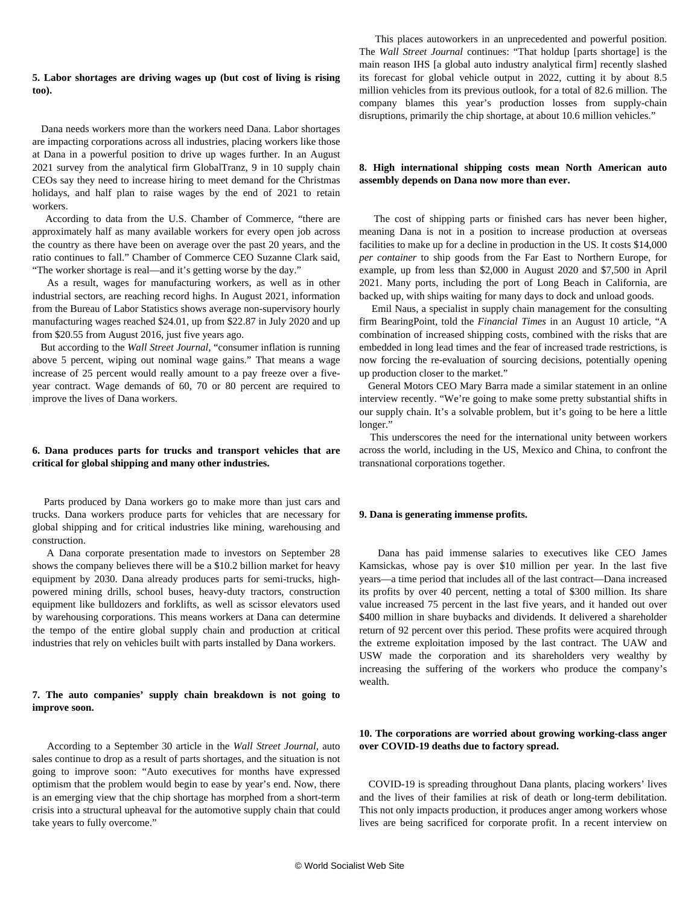#### **5. Labor shortages are driving wages up (but cost of living is rising too).**

 Dana needs workers more than the workers need Dana. Labor shortages are impacting corporations across all industries, placing workers like those at Dana in a powerful position to drive up wages further. In an August 2021 survey from the analytical firm GlobalTranz, 9 in 10 supply chain CEOs say they need to increase hiring to meet demand for the Christmas holidays, and half plan to raise wages by the end of 2021 to retain workers.

 According to data from the U.S. Chamber of Commerce, "there are approximately half as many available workers for every open job across the country as there have been on average over the past 20 years, and the ratio continues to fall." Chamber of Commerce CEO Suzanne Clark said, "The worker shortage is real—and it's getting worse by the day."

 As a result, wages for manufacturing workers, as well as in other industrial sectors, are reaching record highs. In August 2021, information from the Bureau of Labor Statistics shows average non-supervisory hourly manufacturing wages reached \$24.01, up from \$22.87 in July 2020 and up from \$20.55 from August 2016, just five years ago.

 But according to the *Wall Street Journal*, "consumer inflation is running above 5 percent, wiping out nominal wage gains." That means a wage increase of 25 percent would really amount to a pay freeze over a fiveyear contract. Wage demands of 60, 70 or 80 percent are required to improve the lives of Dana workers.

## **6. Dana produces parts for trucks and transport vehicles that are critical for global shipping and many other industries.**

 Parts produced by Dana workers go to make more than just cars and trucks. Dana workers produce parts for vehicles that are necessary for global shipping and for critical industries like mining, warehousing and construction.

 A Dana corporate presentation made to investors on September 28 shows the company believes there will be a \$10.2 billion market for heavy equipment by 2030. Dana already produces parts for semi-trucks, highpowered mining drills, school buses, heavy-duty tractors, construction equipment like bulldozers and forklifts, as well as scissor elevators used by warehousing corporations. This means workers at Dana can determine the tempo of the entire global supply chain and production at critical industries that rely on vehicles built with parts installed by Dana workers.

#### **7. The auto companies' supply chain breakdown is not going to improve soon.**

 According to a September 30 article in the *Wall Street Journal*, auto sales continue to drop as a result of parts shortages, and the situation is not going to improve soon: "Auto executives for months have expressed optimism that the problem would begin to ease by year's end. Now, there is an emerging view that the chip shortage has morphed from a short-term crisis into a structural upheaval for the automotive supply chain that could take years to fully overcome."

 This places autoworkers in an unprecedented and powerful position. The *Wall Street Journal* continues: "That holdup [parts shortage] is the main reason IHS [a global auto industry analytical firm] recently slashed its forecast for global vehicle output in 2022, cutting it by about 8.5 million vehicles from its previous outlook, for a total of 82.6 million. The company blames this year's production losses from supply-chain disruptions, primarily the chip shortage, at about 10.6 million vehicles."

#### **8. High international shipping costs mean North American auto assembly depends on Dana now more than ever.**

 The cost of shipping parts or finished cars has never been higher, meaning Dana is not in a position to increase production at overseas facilities to make up for a decline in production in the US. It costs \$14,000 *per container* to ship goods from the Far East to Northern Europe, for example, up from less than \$2,000 in August 2020 and \$7,500 in April 2021. Many ports, including the port of Long Beach in California, are backed up, with ships waiting for many days to dock and unload goods.

 Emil Naus, a specialist in supply chain management for the consulting firm BearingPoint, told the *Financial Times* in an August 10 article, "A combination of increased shipping costs, combined with the risks that are embedded in long lead times and the fear of increased trade restrictions, is now forcing the re-evaluation of sourcing decisions, potentially opening up production closer to the market."

 General Motors CEO Mary Barra made a similar statement in an online interview recently. "We're going to make some pretty substantial shifts in our supply chain. It's a solvable problem, but it's going to be here a little longer."

 This underscores the need for the international unity between workers across the world, including in the US, Mexico and China, to confront the transnational corporations together.

#### **9. Dana is generating immense profits.**

 Dana has paid immense salaries to executives like CEO James Kamsickas, whose pay is over \$10 million per year. In the last five years—a time period that includes all of the last contract—Dana increased its profits by over 40 percent, netting a total of \$300 million. Its share value increased 75 percent in the last five years, and it handed out over \$400 million in share buybacks and dividends. It delivered a shareholder return of 92 percent over this period. These profits were acquired through the extreme exploitation imposed by the last contract. The UAW and USW made the corporation and its shareholders very wealthy by increasing the suffering of the workers who produce the company's wealth.

## **10. The corporations are worried about growing working-class anger over COVID-19 deaths due to factory spread.**

 COVID-19 is spreading throughout Dana plants, placing workers' lives and the lives of their families at risk of death or long-term debilitation. This not only impacts production, it produces anger among workers whose lives are being sacrificed for corporate profit. In a recent interview on